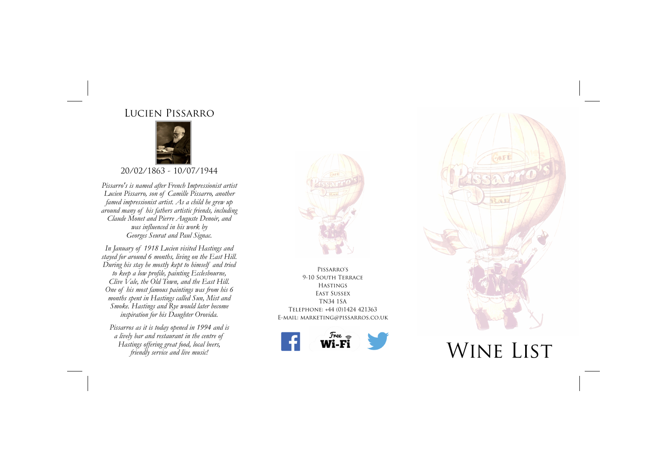# Lucien Pissarro



20/02/1863 - 10/07/1944

*Pissarro's is named after French Impressionist artist Lucien Pissarro, son of Camille Pissarro, another famed impressionist artist. As a child he grew up around many of his fathers artistic friends, including Claude Monet and Pierre Auguste Denoir, and was influenced in his work by Georges Seurat and Paul Signac.* 

*In January of 1918 Lucien visited Hastings and stayed for around 6 months, living on the East Hill. During his stay he mostly kept to himself and tried to keep a low profile, painting Ecclesbourne, Clive Vale, the Old Town, and the East Hill. One of his most famous paintings was from his 6 months spent in Hastings called Sun, Mist and Smoke. Hastings and Rye would later become inspiration for his Daughter Orovida.* 

*Pissarros as it is today opened in 1994 and is a lively bar and restaurant in the centre of Hastings offering great food, local beers, friendly service and live music!* 



Pissarro's 9-10 South Terrace Hastings East Sussex TN34 1SA Telephone: +44 (0)1424 421363 E-mail: marketing@pissarros.co.uk





WINE LIST